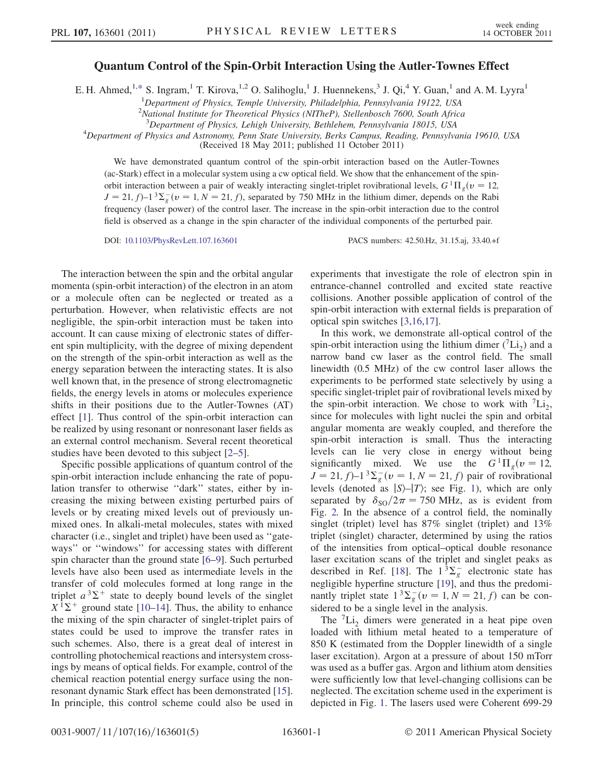## Quantum Control of the Spin-Orbit Interaction Using the Autler-Townes Effect

<span id="page-0-0"></span>E. H. Ahmed,<sup>1,[\\*](#page-3-0)</sup> S. Ingram,<sup>1</sup> T. Kirova,<sup>1,2</sup> O. Salihoglu,<sup>1</sup> J. Huennekens,<sup>3</sup> J. Qi,<sup>4</sup> Y. Guan,<sup>1</sup> and A. M. Lyyra<sup>1</sup>

<sup>1</sup>Department of Physics, Temple University, Philadelphia, Pennsylvania 19122, USA

<sup>2</sup> National Institute for Theoretical Physics (NITheP), Stellenbosch 7600, South Africa

<sup>3</sup>Department of Physics, Lehigh University, Bethlehem, Pennsylvania 18015, USA<br><sup>4</sup>Department of Physics and Astronomy, Penn State University, Barks Campus, Reading, Pennsylva

Department of Physics and Astronomy, Penn State University, Berks Campus, Reading, Pennsylvania 19610, USA

(Received 18 May 2011; published 11 October 2011)

We have demonstrated quantum control of the spin-orbit interaction based on the Autler-Townes (ac-Stark) effect in a molecular system using a cw optical field. We show that the enhancement of the spinorbit interaction between a pair of weakly interacting singlet-triplet rovibrational levels,  $G<sup>1</sup> \Pi_{\nu} (\nu = 12,$  $J = 21$ ,  $f$ )–1<sup>3</sup> $\Sigma_g^-(v = 1, N = 21, f)$ , separated by 750 MHz in the lithium dimer, depends on the Rabi frequency (laser power) of the control laser. The increase in the spin-orbit interaction due to the control field is observed as a change in the spin character of the individual components of the perturbed pair.

DOI: [10.1103/PhysRevLett.107.163601](http://dx.doi.org/10.1103/PhysRevLett.107.163601) PACS numbers: 42.50.Hz, 31.15.aj, 33.40.+f

The interaction between the spin and the orbital angular momenta (spin-orbit interaction) of the electron in an atom or a molecule often can be neglected or treated as a perturbation. However, when relativistic effects are not negligible, the spin-orbit interaction must be taken into account. It can cause mixing of electronic states of different spin multiplicity, with the degree of mixing dependent on the strength of the spin-orbit interaction as well as the energy separation between the interacting states. It is also well known that, in the presence of strong electromagnetic fields, the energy levels in atoms or molecules experience shifts in their positions due to the Autler-Townes (AT) effect [\[1\]](#page-3-1). Thus control of the spin-orbit interaction can be realized by using resonant or nonresonant laser fields as an external control mechanism. Several recent theoretical studies have been devoted to this subject [\[2](#page-3-2)–[5\]](#page-3-3).

Specific possible applications of quantum control of the spin-orbit interaction include enhancing the rate of population transfer to otherwise ''dark'' states, either by increasing the mixing between existing perturbed pairs of levels or by creating mixed levels out of previously unmixed ones. In alkali-metal molecules, states with mixed character (i.e., singlet and triplet) have been used as ''gateways'' or ''windows'' for accessing states with different spin character than the ground state [\[6–](#page-3-4)[9](#page-3-5)]. Such perturbed levels have also been used as intermediate levels in the transfer of cold molecules formed at long range in the triplet  $a^3\Sigma^+$  state to deeply bound levels of the singlet  $X^1\Sigma^+$  ground state [10–141]. Thus the ability to enhance  $X^{T} \Sigma^{+}$  ground state [[10](#page-3-6)–[14](#page-3-7)]. Thus, the ability to enhance<br>the mixing of the spin character of singlet-triplet pairs of the mixing of the spin character of singlet-triplet pairs of states could be used to improve the transfer rates in such schemes. Also, there is a great deal of interest in controlling photochemical reactions and intersystem crossings by means of optical fields. For example, control of the chemical reaction potential energy surface using the nonresonant dynamic Stark effect has been demonstrated [[15\]](#page-3-8). In principle, this control scheme could also be used in experiments that investigate the role of electron spin in entrance-channel controlled and excited state reactive collisions. Another possible application of control of the spin-orbit interaction with external fields is preparation of optical spin switches [[3](#page-3-9)[,16,](#page-4-0)[17](#page-4-1)].

In this work, we demonstrate all-optical control of the spin-orbit interaction using the lithium dimer  $({}^7\text{Li}_2)$  and a narrow band cw laser as the control field. The small linewidth (0.5 MHz) of the cw control laser allows the experiments to be performed state selectively by using a specific singlet-triplet pair of rovibrational levels mixed by the spin-orbit interaction. We chose to work with  ${}^{7}Li_{2}$ , since for molecules with light nuclei the spin and orbital angular momenta are weakly coupled, and therefore the spin-orbit interaction is small. Thus the interacting levels can lie very close in energy without being significantly mixed. We use the  $G<sup>1</sup>\Pi_{\varrho}(v=12,$  $J = 21, f-1<sup>3</sup>\sum_{g} (v = 1, N = 21, f)$  pair of rovibrational<br>levels (denoted as  $|\mathcal{S} \rangle$   $|\mathcal{T} \rangle$ ; see Fig. 1), which are only levels (denoted as  $|S\rangle - |T\rangle$ ; see Fig. [1](#page-1-0)), which are only separated by  $\delta_{SO}/2\pi = 750$  MHz, as is evident from<br>Fig. 2. In the absence of a control field, the nominally Fig. [2.](#page-1-1) In the absence of a control field, the nominally singlet (triplet) level has 87% singlet (triplet) and 13% triplet (singlet) character, determined by using the ratios of the intensities from optical–optical double resonance laser excitation scans of the triplet and singlet peaks as described in Ref. [\[18\]](#page-4-2). The  $1^{3}\Sigma_{g}^{-}$  electronic state has negligible hyperfine structure [\[19\]](#page-4-3), and thus the predominantly triplet state  $1^{3}\Sigma_{g}^{-}(v=1, N=21, f)$  can be con-<br>sidered to be a single level in the analysis sidered to be a single level in the analysis.

The  ${}^{7}Li_{2}$  dimers were generated in a heat pipe oven loaded with lithium metal heated to a temperature of 850 K (estimated from the Doppler linewidth of a single laser excitation). Argon at a pressure of about 150 mTorr was used as a buffer gas. Argon and lithium atom densities were sufficiently low that level-changing collisions can be neglected. The excitation scheme used in the experiment is depicted in Fig. [1](#page-1-0). The lasers used were Coherent 699-29

0031-9007/11/107(16)/163601(5) 163601-1 © 2011 American Physical Society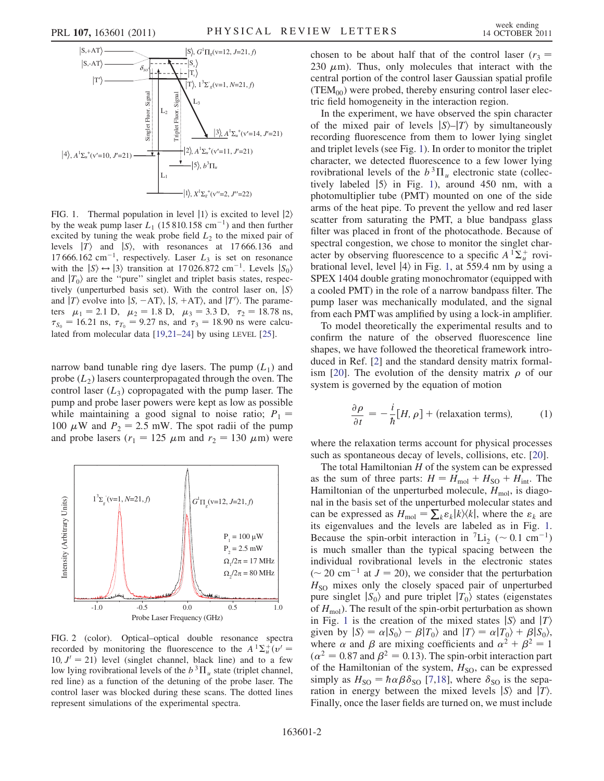<span id="page-1-0"></span>

FIG. 1. Thermal population in level  $|1\rangle$  is excited to level  $|2\rangle$ by the weak pump laser  $L_1$  (15 810.158 cm<sup>-1</sup>) and then further excited by tuning the weak probe field  $L_2$  to the mixed pair of levels  $|T\rangle$  and  $|S\rangle$ , with resonances at 17 666.136 and 17 666.162 cm<sup>-1</sup>, respectively. Laser  $L_3$  is set on resonance with the  $|S\rangle \leftrightarrow |3\rangle$  transition at 17 026.872 cm<sup>-1</sup>. Levels  $|S_0\rangle$ and  $|T_0\rangle$  are the "pure" singlet and triplet basis states, respectively (unperturbed basis set). With the control laser on,  $|S\rangle$ and  $|T\rangle$  evolve into  $|S, -AT\rangle$ ,  $|S, +AT\rangle$ , and  $|T\rangle$ . The parame-<br>ters  $\mu_s = 2.1$  D  $\mu_s = 1.8$  D  $\mu_s = 3.3$  D  $\tau_s = 1.8$  78 ns ters  $\mu_1 = 2.1$  D,  $\mu_2 = 1.8$  D,  $\mu_3 = 3.3$  D,  $\tau_2 = 18.78$  ns,  $\tau_{S_0} = 16.21$  ns,  $\tau_{T_0} = 9.27$  ns, and  $\tau_3 = 18.90$  ns were calculated from molecular data [\[19,](#page-4-3)[21](#page-4-5)[–24\]](#page-4-6) by using LEVEL [\[25\]](#page-4-7).

narrow band tunable ring dye lasers. The pump  $(L_1)$  and probe  $(L_2)$  lasers counterpropagated through the oven. The control laser  $(L_3)$  copropagated with the pump laser. The pump and probe laser powers were kept as low as possible while maintaining a good signal to noise ratio;  $P_1$  = 100  $\mu$ W and  $P_2 = 2.5$  mW. The spot radii of the pump and probe lasers ( $r_1 = 125 \mu m$  and  $r_2 = 130 \mu m$ ) were

<span id="page-1-1"></span>

FIG. 2 (color). Optical–optical double resonance spectra recorded by monitoring the fluorescence to the  $A^{T} \Sigma_{u}^{+}(v' = 10, l' = 21)$  level (singlet channel, black line) and to a few 10,  $J' = 21$ ) level (singlet channel, black line) and to a few low lying rovibrational levels of the  $b^3\Pi_u$  state (triplet channel, red line) as a function of the detuning of the probe laser. The control laser was blocked during these scans. The dotted lines represent simulations of the experimental spectra.

chosen to be about half that of the control laser ( $r_3$  = 230  $\mu$ m). Thus, only molecules that interact with the central portion of the control laser Gaussian spatial profile  $(TEM_{00})$  were probed, thereby ensuring control laser electric field homogeneity in the interaction region.

In the experiment, we have observed the spin character of the mixed pair of levels  $|S\rangle - |T\rangle$  by simultaneously recording fluorescence from them to lower lying singlet and triplet levels (see Fig. [1\)](#page-1-0). In order to monitor the triplet character, we detected fluorescence to a few lower lying rovibrational levels of the  $b^3\Pi_u$  electronic state (collectively labeled  $|5\rangle$  in Fig. [1](#page-1-0)), around 450 nm, with a photomultiplier tube (PMT) mounted on one of the side arms of the heat pipe. To prevent the yellow and red laser scatter from saturating the PMT, a blue bandpass glass filter was placed in front of the photocathode. Because of spectral congestion, we chose to monitor the singlet character by observing fluorescence to a specific  $A^T \Sigma_u^+$  rovi-<br>brational level level  $|A\rangle$  in Fig. 1, at 559.4 nm by using a brational level, level  $|4\rangle$  in Fig. [1](#page-1-0), at 559.4 nm by using a SPEX 1404 double grating monochromator (equipped with a cooled PMT) in the role of a narrow bandpass filter. The pump laser was mechanically modulated, and the signal from each PMT was amplified by using a lock-in amplifier.

To model theoretically the experimental results and to confirm the nature of the observed fluorescence line shapes, we have followed the theoretical framework introduced in Ref. [\[2](#page-3-2)] and the standard density matrix formal-ism [\[20\]](#page-4-4). The evolution of the density matrix  $\rho$  of our system is governed by the equation of motion

<span id="page-1-2"></span>
$$
\frac{\partial \rho}{\partial t} = -\frac{i}{\hbar} [H, \rho] + \text{(relaxation terms)}, \tag{1}
$$

where the relaxation terms account for physical processes such as spontaneous decay of levels, collisions, etc. [[20](#page-4-4)].

The total Hamiltonian  $H$  of the system can be expressed as the sum of three parts:  $H = H_{\text{mol}} + H_{\text{SO}} + H_{\text{int}}$ . The Hamiltonian of the unperturbed molecule,  $H_{\text{mol}}$ , is diagonal in the basis set of the unperturbed molecular states and can be expressed as  $H_{\text{mol}} = \sum_k \varepsilon_k |k\rangle\langle k|$ , where the  $\varepsilon_k$  are<br>its eigenvalues and the levels are labeled as in Fig. 1. its eigenvalues and the levels are labeled as in Fig. [1](#page-1-0). Because the spin-orbit interaction in <sup>7</sup>Li<sub>2</sub> ( $\sim 0.1 \text{ cm}^{-1}$ ) is much smaller than the typical spacing between the individual rovibrational levels in the electronic states ( $\sim$  20 cm<sup>-1</sup> at  $J = 20$ ), we consider that the perturbation  $H<sub>SO</sub>$  mixes only the closely spaced pair of unperturbed pure singlet  $|S_0\rangle$  and pure triplet  $|T_0\rangle$  states (eigenstates of  $H_{\text{mol}}$ ). The result of the spin-orbit perturbation as shown in Fig. [1](#page-1-0) is the creation of the mixed states  $|S\rangle$  and  $|T\rangle$ given by  $|S\rangle = \alpha |S_0\rangle - \beta |T_0\rangle$  and  $|T\rangle = \alpha |T_0\rangle + \beta |S_0\rangle$ , where  $\alpha$  and  $\beta$  are mixing coefficients and  $\alpha^2 + \beta^2 = 1$  $(\alpha^2 = 0.87 \text{ and } \beta^2 = 0.13)$ . The spin-orbit interaction part of the Hamiltonian of the system,  $H<sub>SO</sub>$ , can be expressed simply as  $H_{\text{SO}} = \hbar \alpha \beta \delta_{\text{SO}}$  [\[7](#page-3-10)[,18\]](#page-4-2), where  $\delta_{\text{SO}}$  is the separation in energy between the mixed levels  $|S\rangle$  and  $|T\rangle$ . Finally, once the laser fields are turned on, we must include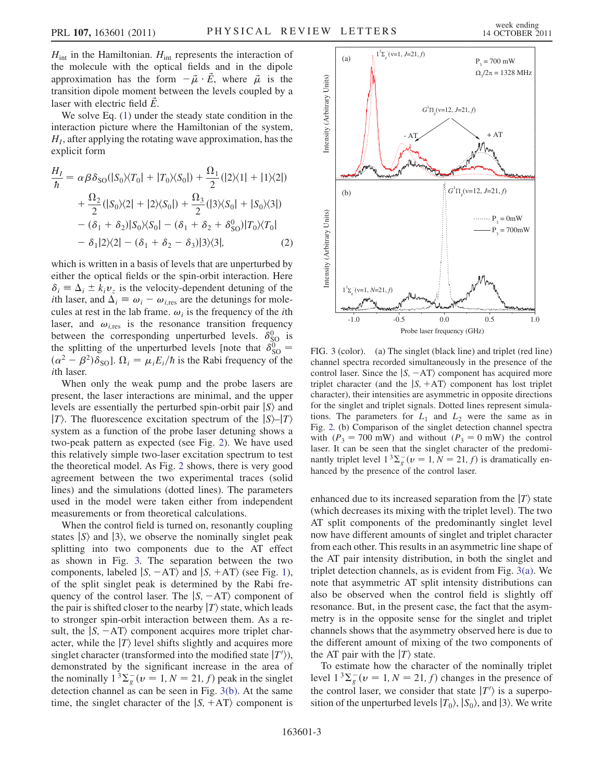$H_{int}$  in the Hamiltonian.  $H_{int}$  represents the interaction of the molecule with the optical fields and in the dipole approximation has the form  $-\vec{\mu} \cdot \vec{E}$ , where  $\vec{\mu}$  is the transition dipole moment between the levels coupled by a laser with electric field  $\dot{E}$ .

We solve Eq.  $(1)$  $(1)$  under the steady state condition in the interaction picture where the Hamiltonian of the system,  $H<sub>I</sub>$ , after applying the rotating wave approximation, has the explicit form

$$
\frac{H_I}{\hbar} = \alpha \beta \delta_{\text{SO}}(|S_0\rangle\langle T_0| + |T_0\rangle\langle S_0|) + \frac{\Omega_1}{2}(|2\rangle\langle 1| + |1\rangle\langle 2|)
$$

$$
+ \frac{\Omega_2}{2}(|S_0\rangle\langle 2| + |2\rangle\langle S_0|) + \frac{\Omega_3}{2}(|3\rangle\langle S_0| + |S_0\rangle\langle 3|)
$$

$$
- (\delta_1 + \delta_2)|S_0\rangle\langle S_0| - (\delta_1 + \delta_2 + \delta_{\text{SO}}^0)|T_0\rangle\langle T_0|
$$

$$
- \delta_1|2\rangle\langle 2| - (\delta_1 + \delta_2 - \delta_3)|3\rangle\langle 3|, \tag{2}
$$

which is written in a basis of levels that are unperturbed by either the optical fields or the spin-orbit interaction. Here  $\delta_i \equiv \Delta_i \pm k_i v_z$  is the velocity-dependent detuning of the *i*th laser, and  $\Delta_i \equiv \omega_i - \omega_{i, \text{res}}$  are the detunings for molecules at rest in the lab frame.  $\omega_i$  is the frequency of the *i*th laser, and  $\omega_{\text{ires}}$  is the resonance transition frequency between the corresponding unperturbed levels.  $\delta_{SO}^0$  is<br>the splitting of the unperturbed levels [note that  $\delta_{SO}^0$  = the splitting of the unperturbed levels [note that  $\delta_{\rm SO}^0 = (\alpha^2 - \beta^2)\delta_{\rm sol}$ ]  $\Omega = \mu F/h$  is the Rabi frequency of the  $(\alpha^2 - \beta^2)\delta_{\text{SO}}$ .  $\Omega_i = \mu_i E_i/\hbar$  is the Rabi frequency of the ith laser.

When only the weak pump and the probe lasers are present, the laser interactions are minimal, and the upper levels are essentially the perturbed spin-orbit pair  $|S\rangle$  and  $|T\rangle$ . The fluorescence excitation spectrum of the  $|S\rangle - |T\rangle$ system as a function of the probe laser detuning shows a two-peak pattern as expected (see Fig. [2](#page-1-1)). We have used this relatively simple two-laser excitation spectrum to test the theoretical model. As Fig. [2](#page-1-1) shows, there is very good agreement between the two experimental traces (solid lines) and the simulations (dotted lines). The parameters used in the model were taken either from independent measurements or from theoretical calculations.

When the control field is turned on, resonantly coupling states  $|S\rangle$  and  $|3\rangle$ , we observe the nominally singlet peak splitting into two components due to the AT effect as shown in Fig. [3.](#page-2-0) The separation between the two components, labeled  $|S, -AT\rangle$  and  $|S, +AT\rangle$  (see Fig. [1\)](#page-1-0), of the split singlet peak is determined by the Rabi frequency of the control laser. The  $|S, -AT\rangle$  component of the pair is shifted closer to the nearby  $|T\rangle$  state, which leads to stronger spin-orbit interaction between them. As a result, the  $|S, -AT\rangle$  component acquires more triplet character, while the  $|T\rangle$  level shifts slightly and acquires more singlet character (transformed into the modified state  $|T'\rangle$ ),<br>demonstrated by the significant increase in the area of demonstrated by the significant increase in the area of the nominally  $1^3 \Sigma_g^-(v = 1, N = 21, f)$  peak in the singlet<br>detection channel as can be seen in Fig. 3(b). At the same detection channel as can be seen in Fig. [3\(b\).](#page-2-1) At the same time, the singlet character of the  $|S, +AT\rangle$  component is

<span id="page-2-0"></span>

<span id="page-2-1"></span>FIG. 3 (color). (a) The singlet (black line) and triplet (red line) channel spectra recorded simultaneously in the presence of the control laser. Since the  $|S, -AT\rangle$  component has acquired more triplet character (and the  $|S, +AT\rangle$  component has lost triplet character), their intensities are asymmetric in opposite directions for the singlet and triplet signals. Dotted lines represent simulations. The parameters for  $L_1$  and  $L_2$  were the same as in Fig. [2.](#page-1-1) (b) Comparison of the singlet detection channel spectra with  $(P_3 = 700 \text{ mW})$  and without  $(P_3 = 0 \text{ mW})$  the control laser. It can be seen that the singlet character of the predominantly triplet level  $1^3 \Sigma_g^-(v = 1, N = 21, f)$  is dramatically enhanced by the presence of the control laser.

enhanced due to its increased separation from the  $|T\rangle$  state (which decreases its mixing with the triplet level). The two AT split components of the predominantly singlet level now have different amounts of singlet and triplet character from each other. This results in an asymmetric line shape of the AT pair intensity distribution, in both the singlet and triplet detection channels, as is evident from Fig. [3\(a\).](#page-2-1) We note that asymmetric AT split intensity distributions can also be observed when the control field is slightly off resonance. But, in the present case, the fact that the asymmetry is in the opposite sense for the singlet and triplet channels shows that the asymmetry observed here is due to the different amount of mixing of the two components of the AT pair with the  $|T\rangle$  state.

To estimate how the character of the nominally triplet level  $1^3 \Sigma_g^-(v = 1, N = 21, f)$  changes in the presence of<br>the control legar we consider that state  $|T'|$  is a superpo the control laser, we consider that state  $|T'\rangle$  is a superpo-<br>sition of the unnerturbed levels  $|T_{\phi}\rangle$   $|S_{\phi}\rangle$  and  $|3\rangle$  We write sition of the unperturbed levels  $|T_0\rangle$ ,  $|S_0\rangle$ , and  $|3\rangle$ . We write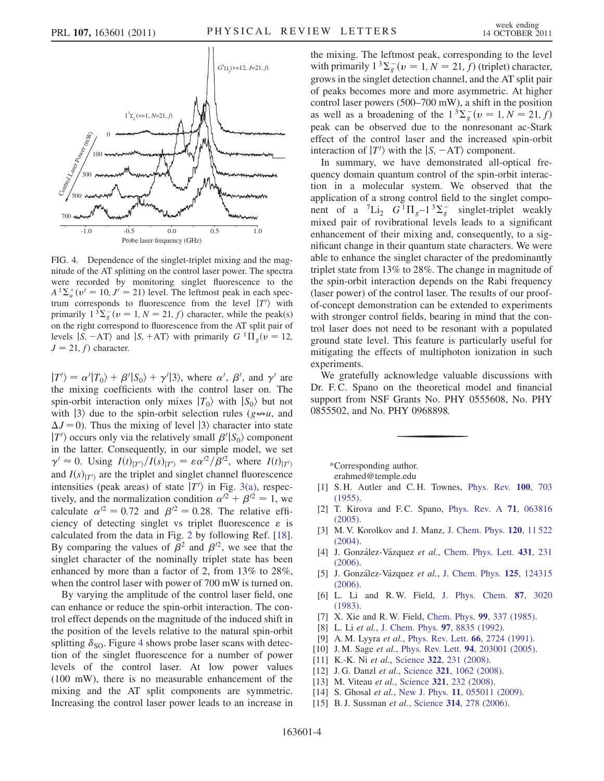<span id="page-3-11"></span>

FIG. 4. Dependence of the singlet-triplet mixing and the magnitude of the AT splitting on the control laser power. The spectra were recorded by monitoring singlet fluorescence to the  $A^{T} \Sigma_{u}^{+}(v' = 10, J' = 21)$  level. The leftmost peak in each spec-<br>trum, corresponds, to fluorescence, from the level  $T'$  with trum corresponds to fluorescence from the level  $|T'\rangle$  with primarily  $1^3\Sigma^-(y=1, N=21, f)$  character while the peak(s) primarily  $1^3 \Sigma_g^-(v = 1, N = 21, f)$  character, while the peak(s)<br>on the right correspond to fluorescence from the AT split pair of on the right correspond to fluorescence from the AT split pair of levels  $|S, -AT\rangle$  and  $|S, +AT\rangle$  with primarily  $G<sup>1</sup>\Pi_{\varrho}(v = 12,$  $J = 21$ , f) character.

 $|T'\rangle = \alpha'|T_0\rangle + \beta'|S_0\rangle + \gamma'|3\rangle$ , where  $\alpha', \beta',$  and  $\gamma'$  are<br>the mixing coefficients with the control laser on The the mixing coefficients with the control laser on. The spin-orbit interaction only mixes  $|T_0\rangle$  with  $|S_0\rangle$  but not with  $|3\rangle$  due to the spin-orbit selection rules ( $g \leftrightarrow u$ , and  $\Delta J = 0$ ). Thus the mixing of level  $|3\rangle$  character into state  $|T'\rangle$  occurs only via the relatively small  $\beta'|S_0\rangle$  component<br>in the latter Consequently in our simple model, we set in the latter. Consequently, in our simple model, we set  $\gamma' \approx 0$ . Using  $I(t)|_{T'}\rangle/I(s)|_{T'}\rangle = \varepsilon \alpha'^2/\beta'^2$ , where  $I(t)|_{T'}\rangle$ and  $I(s)|_{T'}$  are the triplet and singlet channel fluorescence<br>intensities (peak areas) of state  $|T'|$  in Fig. 3(a), respecintensities (peak areas) of state  $|T'\rangle$  in Fig. [3\(a\)](#page-2-1), respec-<br>tively and the normalization condition  $\alpha'^2 + \beta'^2 = 1$  we tively, and the normalization condition  $\alpha^{2} + \beta^{2} = 1$ , we calculate  $\alpha^{2} = 0.72$  and  $\beta^{2} = 0.28$ . The relative efficiency of detecting singlet vs triplet fluorescence  $\varepsilon$  is calculated from the data in Fig. [2](#page-1-1) by following Ref. [[18\]](#page-4-2). By comparing the values of  $\beta^2$  and  $\beta'^2$ , we see that the singlet character of the nominally triplet state has been enhanced by more than a factor of 2, from 13% to 28%, when the control laser with power of 700 mW is turned on.

By varying the amplitude of the control laser field, one can enhance or reduce the spin-orbit interaction. The control effect depends on the magnitude of the induced shift in the position of the levels relative to the natural spin-orbit splitting  $\delta_{\text{SO}}$ . Figure [4](#page-3-11) shows probe laser scans with detection of the singlet fluorescence for a number of power levels of the control laser. At low power values (100 mW), there is no measurable enhancement of the mixing and the AT split components are symmetric. Increasing the control laser power leads to an increase in the mixing. The leftmost peak, corresponding to the level with primarily  $1^3\Sigma_g^-(v=1, N=21, f)$  (triplet) character,<br>grows in the singlet detection channel, and the AT split pair grows in the singlet detection channel, and the AT split pair of peaks becomes more and more asymmetric. At higher control laser powers (500–700 mW), a shift in the position as well as a broadening of the  $1^3\Sigma_g^-(v=1, N=21, f)$ <br>neak can be observed due to the nonresonant ac-Stark peak can be observed due to the nonresonant ac-Stark effect of the control laser and the increased spin-orbit interaction of  $|T'\rangle$  with the  $|S, -AT\rangle$  component.<br>In summary, we have demonstrated all-ont

In summary, we have demonstrated all-optical frequency domain quantum control of the spin-orbit interaction in a molecular system. We observed that the application of a strong control field to the singlet component of a  ${}^{7}Li_{2}$   $G^{1}\Pi_{g}-1{}^{3}\Sigma_{g}^{-}$  singlet-triplet weakly<br>mixed pair of rovibrational levels leads to a significant mixed pair of rovibrational levels leads to a significant enhancement of their mixing and, consequently, to a significant change in their quantum state characters. We were able to enhance the singlet character of the predominantly triplet state from 13% to 28%. The change in magnitude of the spin-orbit interaction depends on the Rabi frequency (laser power) of the control laser. The results of our proofof-concept demonstration can be extended to experiments with stronger control fields, bearing in mind that the control laser does not need to be resonant with a populated ground state level. This feature is particularly useful for mitigating the effects of multiphoton ionization in such experiments.

We gratefully acknowledge valuable discussions with Dr. F.C. Spano on the theoretical model and financial support from NSF Grants No. PHY 0555608, No. PHY 0855502, and No. PHY 0968898.

<span id="page-3-0"></span>[\\*C](#page-0-0)orresponding author.

erahmed@temple.edu

- <span id="page-3-2"></span><span id="page-3-1"></span>[1] S. H. Autler and C. H. Townes, [Phys. Rev.](http://dx.doi.org/10.1103/PhysRev.100.703) 100, 703 [\(1955\)](http://dx.doi.org/10.1103/PhysRev.100.703).
- <span id="page-3-9"></span>[2] T. Kirova and F.C. Spano, [Phys. Rev. A](http://dx.doi.org/10.1103/PhysRevA.71.063816) 71, 063816 [\(2005\)](http://dx.doi.org/10.1103/PhysRevA.71.063816).
- [3] M. V. Korolkov and J. Manz, [J. Chem. Phys.](http://dx.doi.org/10.1063/1.1753256) 120, 11522 [\(2004\)](http://dx.doi.org/10.1063/1.1753256).
- <span id="page-3-3"></span>[4] J. González-Vázquez et al., [Chem. Phys. Lett.](http://dx.doi.org/10.1016/j.cplett.2006.09.085) 431, 231 [\(2006\)](http://dx.doi.org/10.1016/j.cplett.2006.09.085).
- <span id="page-3-4"></span>[5] J. González-Vázquez et al., [J. Chem. Phys.](http://dx.doi.org/10.1063/1.2355492) 125, 124315 [\(2006\)](http://dx.doi.org/10.1063/1.2355492).
- <span id="page-3-10"></span>[6] L. Li and R. W. Field, [J. Phys. Chem.](http://dx.doi.org/10.1021/j100239a011) 87, 3020 [\(1983\)](http://dx.doi.org/10.1021/j100239a011).
- [7] X. Xie and R. W. Field, [Chem. Phys.](http://dx.doi.org/10.1016/0301-0104(85)80130-0) 99, 337 (1985).
- <span id="page-3-5"></span>[8] L. Li et al., [J. Chem. Phys.](http://dx.doi.org/10.1063/1.463971) 97, 8835 (1992).
- <span id="page-3-6"></span>[9] A. M. Lyyra et al., [Phys. Rev. Lett.](http://dx.doi.org/10.1103/PhysRevLett.66.2724) **66**, 2724 (1991).
- [10] J.M. Sage et al., Phys. Rev. Lett. 94[, 203001 \(2005\).](http://dx.doi.org/10.1103/PhysRevLett.94.203001)
- [11] K.-K. Ni et al., Science 322[, 231 \(2008\).](http://dx.doi.org/10.1126/science.1163861)
- [12] J.G. Danzl et al., Science 321[, 1062 \(2008\).](http://dx.doi.org/10.1126/science.1159909)<br>[13] M. Viteau et al., Science 321, 232 (2008).
- <span id="page-3-7"></span>M. Viteau et al., Science 321[, 232 \(2008\)](http://dx.doi.org/10.1126/science.1159496).
- <span id="page-3-8"></span>[14] S. Ghosal et al., New J. Phys. 11[, 055011 \(2009\)](http://dx.doi.org/10.1088/1367-2630/11/5/055011).
- [15] B.J. Sussman et al., Science 314[, 278 \(2006\).](http://dx.doi.org/10.1126/science.1132289)